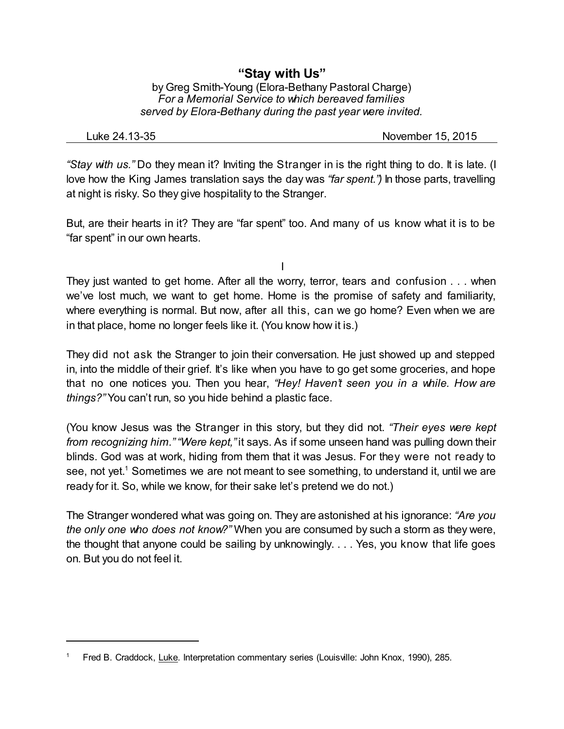## **"Stay with Us"**

by Greg Smith-Young (Elora-Bethany Pastoral Charge) *For a Memorial Service to which bereaved families served by Elora-Bethany during the past year were invited.*

Luke 24.13-35 November 15, 2015

*"Stay with us."* Do they mean it? Inviting the Stranger in is the right thing to do. It is late. (I love how the King James translation says the day was *"far spent.")* In those parts, travelling at night is risky. So they give hospitality to the Stranger.

But, are their hearts in it? They are "far spent" too. And many of us know what it is to be "far spent" in our own hearts.

I

They just wanted to get home. After all the worry, terror, tears and confusion . . . when we've lost much, we want to get home. Home is the promise of safety and familiarity, where everything is normal. But now, after all this, can we go home? Even when we are in that place, home no longer feels like it. (You know how it is.)

They did not ask the Stranger to join their conversation. He just showed up and stepped in, into the middle of their grief. It's like when you have to go get some groceries, and hope that no one notices you. Then you hear, *"Hey! Haven't seen you in a while. How are things?"* You can't run, so you hide behind a plastic face.

(You know Jesus was the Stranger in this story, but they did not. *"Their eyes were kept from recognizing him." "Were kept,"* it says. As if some unseen hand was pulling down their blinds. God was at work, hiding from them that it was Jesus. For they were not ready to see, not yet. <sup>1</sup> Sometimes we are not meant to see something, to understand it, until we are ready for it. So, while we know, for their sake let's pretend we do not.)

The Stranger wondered what was going on. They are astonished at his ignorance: *"Are you the only one who does not know?"* When you are consumed by such a storm as they were, the thought that anyone could be sailing by unknowingly. . . . Yes, you know that life goes on. But you do not feel it.

Fred B. Craddock, Luke. Interpretation commentary series (Louisville: John Knox, 1990), 285.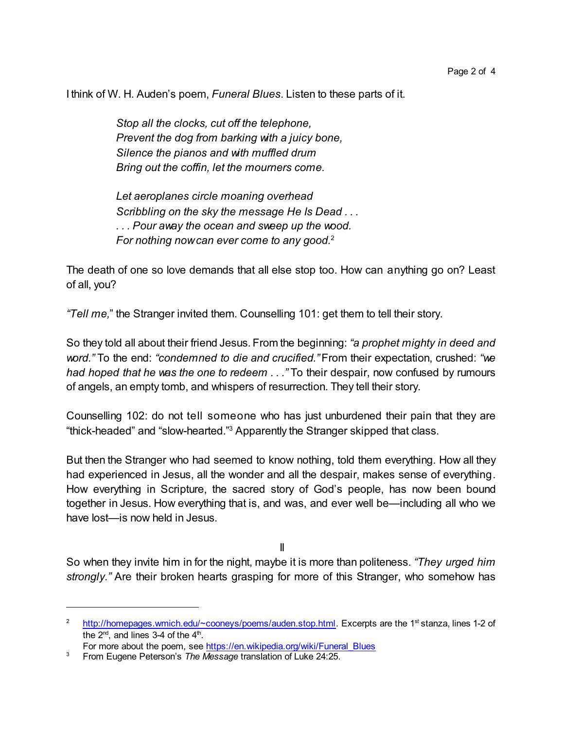I think of W. H. Auden's poem, *Funeral Blues*. Listen to these parts of it.

*Stop all the clocks, cut off the telephone, Prevent the dog from barking with a juicy bone, Silence the pianos and with muffled drum Bring out the coffin, let the mourners come.*

*Let aeroplanes circle moaning overhead Scribbling on the sky the message He Is Dead . . . . . . Pour away the ocean and sweep up the wood. For nothing nowcan ever come to any good.*<sup>2</sup>

The death of one so love demands that all else stop too. How can anything go on? Least of all, you?

*"Tell me,*" the Stranger invited them. Counselling 101: get them to tell their story.

So they told all about their friend Jesus. From the beginning: *"a prophet mighty in deed and word."* To the end: *"condemned to die and crucified."* From their expectation, crushed: *"we had hoped that he was the one to redeem . . ."* To their despair, now confused by rumours of angels, an empty tomb, and whispers of resurrection. They tell their story.

Counselling 102: do not tell someone who has just unburdened their pain that they are "thick-headed" and "slow-hearted." <sup>3</sup> Apparently the Stranger skipped that class.

But then the Stranger who had seemed to know nothing, told them everything. How all they had experienced in Jesus, all the wonder and all the despair, makes sense of everything. How everything in Scripture, the sacred story of God's people, has now been bound together in Jesus. How everything that is, and was, and ever well be—including all who we have lost—is now held in Jesus.

II

So when they invite him in for the night, maybe it is more than politeness. *"They urged him strongly."* Are their broken hearts grasping for more of this Stranger, who somehow has

<sup>&</sup>lt;sup>2</sup> http://homepages.wmich.edu/∼cooneys/poems/auden.stop.html</u>. Excerpts are the 1<sup>st</sup> stanza, lines 1-2 of the  $2^{\text{nd}}$ , and lines 3-4 of the  $4^{\text{th}}$ .

For more about the poem, see [https://en.wikipedia.org/wiki/Funeral\\_Blues](https://en.wikipedia.org/wiki/Funeral_Blues)

<sup>3</sup> From Eugene Peterson's *The Message* translation of Luke 24:25.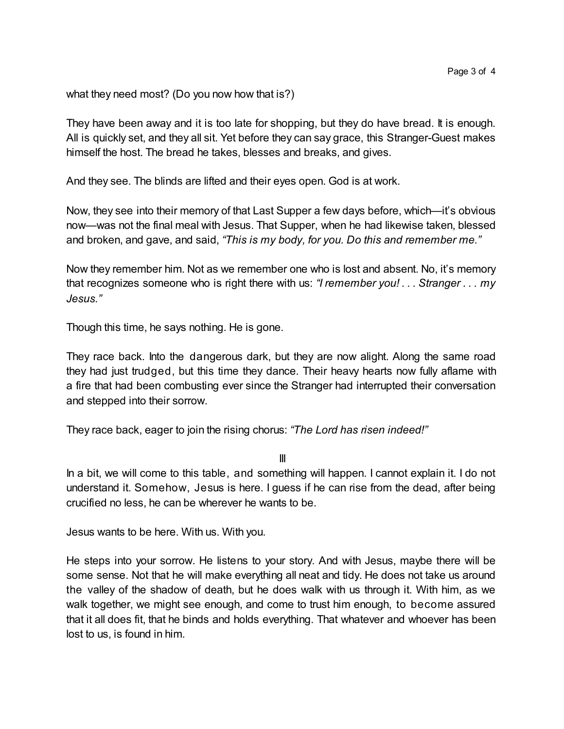what they need most? (Do you now how that is?)

They have been away and it is too late for shopping, but they do have bread. It is enough. All is quickly set, and they all sit. Yet before they can say grace, this Stranger-Guest makes himself the host. The bread he takes, blesses and breaks, and gives.

And they see. The blinds are lifted and their eyes open. God is at work.

Now, they see into their memory of that Last Supper a few days before, which—it's obvious now—was not the final meal with Jesus. That Supper, when he had likewise taken, blessed and broken, and gave, and said, *"This is my body, for you. Do this and remember me."*

Now they remember him. Not as we remember one who is lost and absent. No, it's memory that recognizes someone who is right there with us: *"I remember you! . . . Stranger . . . my Jesus."*

Though this time, he says nothing. He is gone.

They race back. Into the dangerous dark, but they are now alight. Along the same road they had just trudged, but this time they dance. Their heavy hearts now fully aflame with a fire that had been combusting ever since the Stranger had interrupted their conversation and stepped into their sorrow.

They race back, eager to join the rising chorus: *"The Lord has risen indeed!"*

III

In a bit, we will come to this table, and something will happen. I cannot explain it. I do not understand it. Somehow, Jesus is here. I guess if he can rise from the dead, after being crucified no less, he can be wherever he wants to be.

Jesus wants to be here. With us. With you.

He steps into your sorrow. He listens to your story. And with Jesus, maybe there will be some sense. Not that he will make everything all neat and tidy. He does not take us around the valley of the shadow of death, but he does walk with us through it. With him, as we walk together, we might see enough, and come to trust him enough, to become assured that it all does fit, that he binds and holds everything. That whatever and whoever has been lost to us, is found in him.